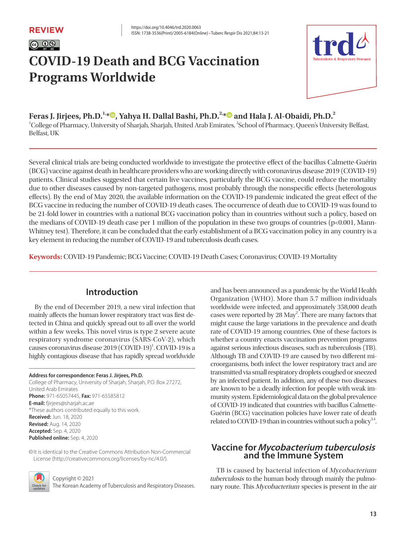|@ 0

# **COVID-19 Death and BCG Vaccination Programs Worldwide**



**Feras J. Jirjees, Ph.D.1,\* , Yahya H. Dallal Bashi, Ph.D.2,\* and Hala J. Al-Obaidi, Ph.D.<sup>2</sup>**

<sup>1</sup>College of Pharmacy, University of Sharjah, Sharjah, United Arab Emirates, <sup>2</sup>School of Pharmacy, Queen's University Belfast, Belfast, UK

Several clinical trials are being conducted worldwide to investigate the protective effect of the bacillus Calmette-Guérin (BCG) vaccine against death in healthcare providers who are working directly with coronavirus disease 2019 (COVID-19) patients. Clinical studies suggested that certain live vaccines, particularly the BCG vaccine, could reduce the mortality due to other diseases caused by non-targeted pathogens, most probably through the nonspecific effects (heterologous effects). By the end of May 2020, the available information on the COVID-19 pandemic indicated the great effect of the BCG vaccine in reducing the number of COVID-19 death cases. The occurrence of death due to COVID-19 was found to be 21-fold lower in countries with a national BCG vaccination policy than in countries without such a policy, based on the medians of COVID-19 death case per 1 million of the population in these two groups of countries (p<0.001, Mann-Whitney test). Therefore, it can be concluded that the early establishment of a BCG vaccination policy in any country is a key element in reducing the number of COVID-19 and tuberculosis death cases.

**Keywords:** COVID-19 Pandemic; BCG Vaccine; COVID-19 Death Cases; Coronavirus; COVID-19 Mortality

# **Introduction**

By the end of December 2019, a new viral infection that mainly affects the human lower respiratory tract was first detected in China and quickly spread out to all over the world within a few weeks. This novel virus is type 2 severe acute respiratory syndrome coronavirus (SARS-CoV-2), which causes coronavirus disease 2019 (COVID-19)<sup>1</sup>. COVID-19 is a highly contagious disease that has rapidly spread worldwide

#### **Address for correspondence: Feras J. Jirjees, Ph.D.**

College of Pharmacy, University of Sharjah, Sharjah, P.O. Box 27272, United Arab Emirates **Phone:** 971-65057445, **Fax:** 971-65585812 **E-mail:** fjirjees@sharjah.ac.ae \*These authors contributed equally to this work. **Received:** Jun. 18, 2020 **Revised:** Aug. 14, 2020 **Accepted:** Sep. 4, 2020 **Published online:** Sep. 4, 2020

©It is identical to the Creative Commons Attribution Non-Commercial License (http://creativecommons.org/licenses/by-nc/4.0/).



Copyright © 2021

The Korean Academy of Tuberculosis and Respiratory Diseases.

and has been announced as a pandemic by the World Health Organization (WHO). More than 5.7 million individuals worldwide were infected, and approximately 358,000 death cases were reported by 28 May<sup>2</sup>. There are many factors that might cause the large variations in the prevalence and death rate of COVID-19 among countries. One of these factors is whether a country enacts vaccination prevention programs against serious infectious diseases, such as tuberculosis (TB). Although TB and COVID-19 are caused by two different microorganisms, both infect the lower respiratory tract and are transmitted via small respiratory droplets coughed or sneezed by an infected patient. In addition, any of these two diseases are known to be a deadly infection for people with weak immunity system. Epidemiological data on the global prevalence of COVID-19 indicated that countries with bacillus Calmette-Guérin (BCG) vaccination policies have lower rate of death related to COVID-19 than in countries without such a policy $3,4$ .

## **Vaccine for Mycobacterium tuberculosis and the Immune System**

TB is caused by bacterial infection of Mycobacterium tuberculosis to the human body through mainly the pulmonary route. This Mycobacterium species is present in the air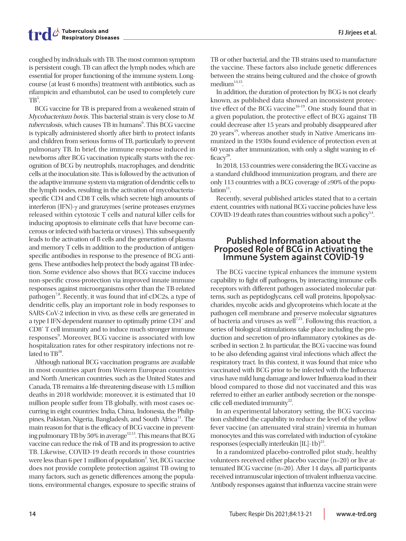coughed by individuals with TB. The most common symptom is persistent cough. TB can affect the lymph nodes, which are essential for proper functioning of the immune system. Longcourse (at least 6 months) treatment with antibiotics, such as rifampicin and ethambutol, can be used to completely cure  $TB^5$ .

BCG vaccine for TB is prepared from a weakened strain of Mycobacterium bovis. This bacterial strain is very close to M. tuberculosis, which causes TB in humans<sup>6</sup>. This BCG vaccine is typically administered shortly after birth to protect infants and children from serious forms of TB, particularly to prevent pulmonary TB. In brief, the immune response induced in newborns after BCG vaccination typically starts with the recognition of BCG by neutrophils, macrophages, and dendritic cells at the inoculation site. This is followed by the activation of the adaptive immune system via migration of dendritic cells to the lymph nodes, resulting in the activation of mycobacteriaspecific CD4 and CD8 T cells, which secrete high amounts of interferon (IFN)-γ and granzymes (serine proteases enzymes released within cytotoxic T cells and natural killer cells for inducing apoptosis to eliminate cells that have become cancerous or infected with bacteria or viruses). This subsequently leads to the activation of B cells and the generation of plasma and memory T cells in addition to the production of antigenspecific antibodies in response to the presence of BCG antigens. These antibodies help protect the body against TB infection. Some evidence also shows that BCG vaccine induces non-specific cross-protection via improved innate immune responses against microorganisms other than the TB-related pathogen<sup>7,8</sup>. Recently, it was found that inf-cDC2s, a type of dendritic cells, play an important role in body responses to SARS-CoV-2 infection in vivo, as these cells are generated in a type I IFN-dependent manner to optimally prime CD4<sup>+</sup> and CD8<sup>+</sup> T cell immunity and to induce much stronger immune responses<sup>9</sup>. Moreover, BCG vaccine is associated with low hospitalization rates for other respiratory infections not related to  $TB^{10}$ . .

Although national BCG vaccination programs are available in most countries apart from Western European countries and North American countries, such as the United States and Canada, TB remains a life-threatening disease with 1.5 million deaths in 2018 worldwide; moreover, it is estimated that 10 million people suffer from TB globally, with most cases occurring in eight countries: India, China, Indonesia, the Philippines, Pakistan, Nigeria, Bangladesh, and South Africa<sup>11</sup>. The main reason for that is the efficacy of BCG vaccine in preventing pulmonary TB by 50% in average<sup>12,13</sup>. This means that BCG vaccine can reduce the risk of TB and its progression to active TB. Likewise, COVID-19 death records in those countries were less than 6 per 1 million of population<sup>2</sup>. Yet, BCG vaccine does not provide complete protection against TB owing to many factors, such as genetic differences among the populations, environmental changes, exposure to specific strains of

TB or other bacterial, and the TB strains used to manufacture the vaccine. These factors also include genetic differences between the strains being cultured and the choice of growth  $median<sup>14,15</sup>$ .

In addition, the duration of protection by BCG is not clearly known, as published data showed an inconsistent protective effect of the BCG vaccine<sup>16-19</sup>. One study found that in a given population, the protective effect of BCG against TB could decrease after 15 years and probably disappeared after  $20$  years<sup>19</sup>, whereas another study in Native Americans immunized in the 1930s found evidence of protection even at 60 years after immunization, with only a slight waning in efficacy $20$ .

In 2018, 153 countries were considering the BCG vaccine as a standard childhood immunization program, and there are only 113 countries with a BCG coverage of ≥90% of the popu $lation<sup>11</sup>$ . .

Recently, several published articles stated that to a certain extent, countries with national BCG vaccine policies have less COVID-19 death rates than countries without such a policy<sup>3,4</sup>. .

#### **Published Information about the Proposed Role of BCG in Activating the Immune System against COVID-19**

The BCG vaccine typical enhances the immune system capability to fight off pathogens, by interacting immune cells receptors with different pathogen associated molecular patterns, such as peptidoglycans, cell wall proteins, lipopolysaccharides, mycolic acids and glycoproteins which locate at the pathogen cell membrane and preserve molecular signatures of bacteria and viruses as well<sup>7,21</sup>. Following this reaction, a series of biological stimulations take place including the production and secretion of pro-inflammatory cytokines as described in section 2. In particular, the BCG vaccine was found to be also defending against viral infections which affect the respiratory tract. In this context, it was found that mice who vaccinated with BCG prior to be infected with the Influenza virus have mild lung damage and lower Influenza load in their blood compared to those did not vaccinated and this was referred to either an earlier antibody secretion or the nonspecific cell-mediated immunity $^{22}$ . .

In an experimental laboratory setting, the BCG vaccination exhibited the capability to reduce the level of the yellow fever vaccine (an attenuated viral strain) viremia in human monocytes and this was correlated with induction of cytokine responses (especially interleukin  $[IL]-1b)^{23}$ . .

In a randomized placebo-controlled pilot study, healthy volunteers received either placebo vaccine (n=20) or live attenuated BCG vaccine (n=20). After 14 days, all participants received intramuscular injection of trivalent influenza vaccine. Antibody responses against that influenza vaccine strain were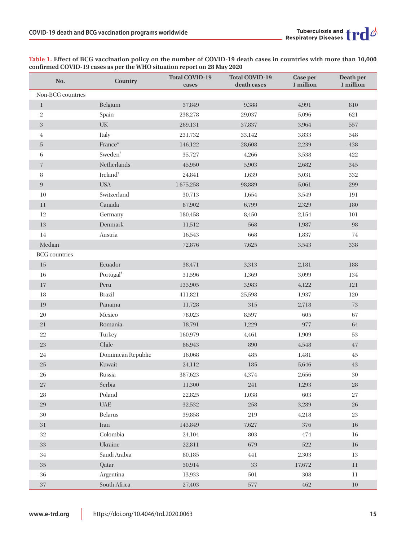| No.                  | <b>Country</b>                  | <b>Total COVID-19</b><br>cases | <b>Total COVID-19</b><br>death cases | Case per<br>1 million | Death per<br>1 million |
|----------------------|---------------------------------|--------------------------------|--------------------------------------|-----------------------|------------------------|
| Non-BCG countries    |                                 |                                |                                      |                       |                        |
| $\mathbf{1}$         | Belgium                         | 57,849                         | 9,388                                | 4,991                 | 810                    |
| $\,2$                | Spain                           | 238,278                        | 29,037                               | 5,096                 | 621                    |
| $\sqrt{3}$           | $\ensuremath{\text{UK}}\xspace$ | 269,131                        | 37,837                               | 3,964                 | 557                    |
| $\overline{4}$       | Italy                           | 231,732                        | 33,142                               | 3,833                 | 548                    |
| $\overline{5}$       | France*                         | 146,122                        | 28,608                               | 2,239                 | 438                    |
| $\,6\,$              | Sweden <sup>+</sup>             | 35,727                         | 4,266                                | 3,538                 | $422\,$                |
| $\,7$                | Netherlands                     | 45,950                         | 5,903                                | 2,682                 | 345                    |
| 8                    | Ireland <sup>*</sup>            | 24,841                         | 1,639                                | 5,031                 | 332                    |
| $\boldsymbol{9}$     | <b>USA</b>                      | 1,675,258                      | 98,889                               | 5,061                 | 299                    |
| 10                   | Switzerland                     | 30,713                         | 1,654                                | 3,549                 | 191                    |
| 11                   | Canada                          | 87,902                         | 6,799                                | 2,329                 | 180                    |
| 12                   | Germany                         | 180,458                        | 8,450                                | 2,154                 | 101                    |
| 13                   | Denmark                         | 11,512                         | 568                                  | 1,987                 | 98                     |
| 14                   | Austria                         | 16,543                         | 668                                  | 1,837                 | 74                     |
| Median               |                                 | 72,876                         | 7,625                                | 3,543                 | 338                    |
| <b>BCG</b> countries |                                 |                                |                                      |                       |                        |
| $15\,$               | Ecuador                         | 38,471                         | 3,313                                | 2,181                 | 188                    |
| 16                   | Portugal <sup>§</sup>           | 31,596                         | 1,369                                | 3,099                 | 134                    |
| $17\,$               | Peru                            | 135,905                        | 3,983                                | 4,122                 | 121                    |
| $18\,$               | <b>Brazil</b>                   | 411,821                        | 25,598                               | 1,937                 | 120                    |
| 19                   | Panama                          | 11,728                         | 315                                  | 2,718                 | 73                     |
| $20\,$               | Mexico                          | 78,023                         | 8,597                                | 605                   | 67                     |
| $21\,$               | Romania                         | 18,791                         | 1,229                                | 977                   | $64\,$                 |
| $22\,$               | Turkey                          | 160,979                        | 4,461                                | 1,909                 | 53                     |
| $23\,$               | Chile                           | 86,943                         | 890                                  | 4,548                 | 47                     |
| 24                   | Dominican Republic              | 16,068                         | 485                                  | 1,481                 | 45                     |
| $25\,$               | Kuwait                          | 24,112                         | 185                                  | 5,646                 | $43\,$                 |
| 26                   | Russia                          | 387,623                        | 4,374                                | 2,656                 | $30\,$                 |
| $27\,$               | Serbia                          | 11,300                         | 241                                  | 1,293                 | ${\bf 28}$             |
| ${\bf 28}$           | Poland                          | 22,825                         | 1,038                                | 603                   | $27\,$                 |
| $29\,$               | $\ensuremath{\mathsf{UAE}}$     | 32,532                         | $258\,$                              | 3,289                 | 26                     |
| $30\,$               | <b>Belarus</b>                  | 39,858                         | 219                                  | 4,218                 | 23                     |
| $31\,$               | Iran                            | 143,849                        | 7,627                                | 376                   | $16\,$                 |
| $32\,$               | Colombia                        | 24,104                         | 803                                  | 474                   | 16                     |
| $33\,$               | Ukraine                         | 22,811                         | 679                                  | 522                   | $16\,$                 |
| $34\,$               | Saudi Arabia                    | 80,185                         | 441                                  | 2,303                 | 13                     |
| $35\,$               | Qatar                           | 50,914                         | $33\,$                               | 17,672                | $11\,$                 |
| 36                   | Argentina                       | 13,933                         | 501                                  | 308                   | $11\,$                 |
| $37\,$               | South Africa                    | 27,403                         | 577                                  | 462                   | $10\,$                 |

**Table 1. Effect of BCG vaccination policy on the number of COVID-19 death cases in countries with more than 10,000 confirmed COVID-19 cases as per the WHO situation report on 28 May 2020**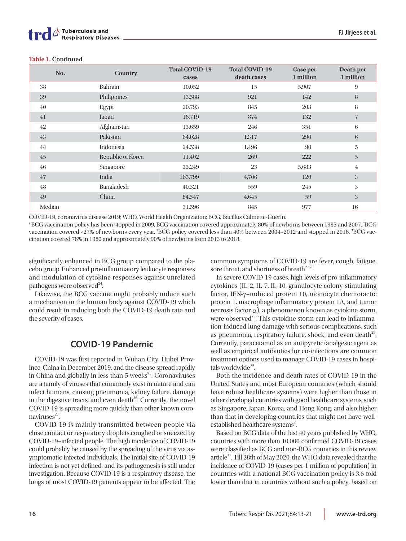| No.    | Country           | <b>Total COVID-19</b><br>cases | <b>Total COVID-19</b><br>death cases | Case per<br>1 million | Death per<br>1 million |
|--------|-------------------|--------------------------------|--------------------------------------|-----------------------|------------------------|
| 38     | Bahrain           | 10,052                         | 15                                   | 5,907                 | 9                      |
| 39     | Philippines       | 15,588                         | 921                                  | 142                   | 8                      |
| 40     | Egypt             | 20,793                         | 845                                  | 203                   | 8                      |
| 41     | Japan             | 16,719                         | 874                                  | 132                   | $\overline{7}$         |
| 42     | Afghanistan       | 13,659                         | 246                                  | 351                   | 6                      |
| 43     | Pakistan          | 64,028                         | 1,317                                | 290                   | 6                      |
| 44     | Indonesia         | 24,538                         | 1,496                                | 90                    | 5                      |
| 45     | Republic of Korea | 11,402                         | 269                                  | 222                   | 5                      |
| 46     | Singapore         | 33,249                         | 23                                   | 5,683                 | 4                      |
| 47     | India             | 165,799                        | 4,706                                | 120                   | 3                      |
| 48     | Bangladesh        | 40,321                         | 559                                  | 245                   | 3                      |
| 49     | China             | 84,547                         | 4,645                                | 59                    | 3                      |
| Median |                   | 31,596                         | 845                                  | 977                   | 16                     |

#### **Table 1. Continued**

COVID-19, coronavirus disease 2019; WHO, World Health Organization; BCG, Bacillus Calmette-Guérin.

\*BCG vaccination policy has been stopped in 2009, BCG vaccination covered approximately 80% of newborns between 1985 and 2007. † BCG vaccination covered <27% of newborns every year. \*BCG policy covered less than 40% between 2004–2012 and stopped in 2016. \*BCG vaccination covered 76% in 1980 and approximately 90% of newborns from 2013 to 2018.

significantly enhanced in BCG group compared to the placebo group. Enhanced pro-inflammatory leukocyte responses and modulation of cytokine responses against unrelated pathogens were observed<sup>24</sup>. .

Likewise, the BCG vaccine might probably induce such a mechanism in the human body against COVID-19 which could result in reducing both the COVID-19 death rate and the severity of cases.

## **COVID-19 Pandemic**

COVID-19 was first reported in Wuhan City, Hubei Province, China in December 2019, and the disease spread rapidly in China and globally in less than 5 weeks<sup>25</sup>. Coronaviruses are a family of viruses that commonly exist in nature and can infect humans, causing pneumonia, kidney failure, damage in the digestive tracts, and even death $^{26}$ . Currently, the novel COVID-19 is spreading more quickly than other known coronaviruses $27$ . .

COVID-19 is mainly transmitted between people via close contact or respiratory droplets coughed or sneezed by COVID-19–infected people. The high incidence of COVID-19 could probably be caused by the spreading of the virus via asymptomatic infected individuals. The initial site of COVID-19 infection is not yet defined, and its pathogenesis is still under investigation. Because COVID-19 is a respiratory disease, the lungs of most COVID-19 patients appear to be affected. The common symptoms of COVID-19 are fever, cough, fatigue, sore throat, and shortness of breath<sup>27,28</sup>.

In severe COVID-19 cases, high levels of pro-inflammatory cytokines (IL-2, IL-7, IL-10, granulocyte colony-stimulating factor, IFN-γ–induced protein 10, monocyte chemotactic protein 1, macrophage inflammatory protein 1A, and tumor necrosis factor  $α$ ), a phenomenon known as cytokine storm, were observed<sup>25</sup>. This cytokine storm can lead to inflammation-induced lung damage with serious complications, such as pneumonia, respiratory failure, shock, and even death<sup>29</sup>. Currently, paracetamol as an antipyretic/analgesic agent as well as empirical antibiotics for co-infections are common treatment options used to manage COVID-19 cases in hospitals worldwide $30$ . .

Both the incidence and death rates of COVID-19 in the United States and most European countries (which should have robust healthcare systems) were higher than those in other developed countries with good healthcare systems, such as Singapore, Japan, Korea, and Hong Kong, and also higher than that in developing countries that might not have wellestablished healthcare systems<sup>2</sup>.

Based on BCG data of the last 40 years published by WHO, countries with more than 10,000 confirmed COVID-19 cases were classified as BCG and non-BCG countries in this review article<sup>31</sup>. Till 28th of May 2020, the WHO data revealed that the incidence of COVID-19 (cases per 1 million of population) in countries with a national BCG vaccination policy is 3.6-fold lower than that in countries without such a policy, based on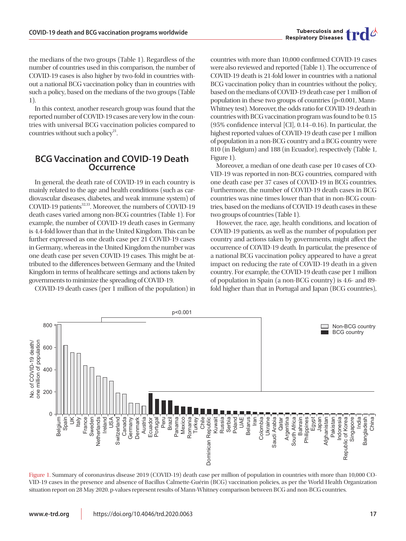the medians of the two groups (Table 1). Regardless of the number of countries used in this comparison, the number of COVID-19 cases is also higher by two-fold in countries without a national BCG vaccination policy than in countries with such a policy, based on the medians of the two groups (Table 1).

In this context, another research group was found that the reported number of COVID-19 cases are very low in the countries with universal BCG vaccination policies compared to countries without such a policy<sup>21</sup>. .

#### **BCG Vaccination and COVID-19 Death Occurrence**

In general, the death rate of COVID-19 in each country is mainly related to the age and health conditions (such as cardiovascular diseases, diabetes, and weak immune system) of COVID-19 patients<sup>32,33</sup>. Moreover, the numbers of COVID-19 death cases varied among non-BCG countries (Table 1). For example, the number of COVID-19 death cases in Germany is 4.4-fold lower than that in the United Kingdom. This can be further expressed as one death case per 21 COVID-19 cases in Germany, whereas in the United Kingdom the number was one death case per seven COVID-19 cases. This might be attributed to the differences between Germany and the United Kingdom in terms of healthcare settings and actions taken by governments to minimize the spreading of COVID-19.

COVID-19 death cases (per 1 million of the population) in

countries with more than 10,000 confirmed COVID-19 cases were also reviewed and reported (Table 1). The occurrence of COVID-19 death is 21-fold lower in countries with a national BCG vaccination policy than in countries without the policy, based on the medians of COVID-19 death case per 1 million of population in these two groups of countries (p<0.001, Mann-Whitney test). Moreover, the odds ratio for COVID-19 death in countries with BCG vaccination program was found to be 0.15 (95% confidence interval [CI], 0.14–0.16). In particular, the highest reported values of COVID-19 death case per 1 million of population in a non-BCG country and a BCG country were 810 (in Belgium) and 188 (in Ecuador), respectively (Table 1, Figure 1).

Moreover, a median of one death case per 10 cases of CO-VID-19 was reported in non-BCG countries, compared with one death case per 37 cases of COVID-19 in BCG countries. Furthermore, the number of COVID-19 death cases in BCG countries was nine times lower than that in non-BCG countries, based on the medians of COVID-19 death cases in these two groups of countries (Table 1).

However, the race, age, health conditions, and location of COVID-19 patients, as well as the number of population per country and actions taken by governments, might affect the occurrence of COVID-19 death. In particular, the presence of a national BCG vaccination policy appeared to have a great impact on reducing the rate of COVID-19 death in a given country. For example, the COVID-19 death case per 1 million of population in Spain (a non-BCG country) is 4.6- and 89 fold higher than that in Portugal and Japan (BCG countries),



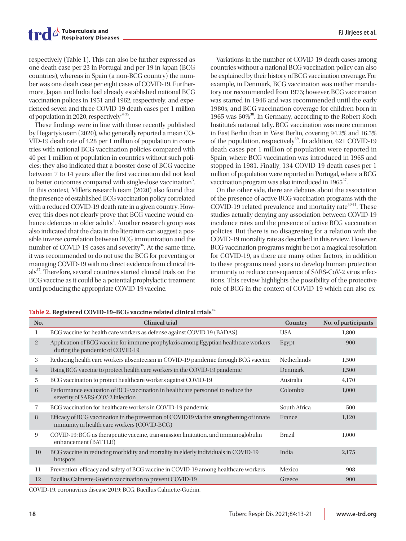respectively (Table 1). This can also be further expressed as one death case per 23 in Portugal and per 19 in Japan (BCG countries), whereas in Spain (a non-BCG country) the number was one death case per eight cases of COVID-19. Furthermore, Japan and India had already established national BCG vaccination polices in 1951 and 1962, respectively, and experienced seven and three COVID-19 death cases per 1 million of population in 2020, respectively $34,35$ . .

These findings were in line with those recently published by Hegarty's team (2020), who generally reported a mean CO-VID-19 death rate of 4.28 per 1 million of population in countries with national BCG vaccination policies compared with 40 per 1 million of population in countries without such policies; they also indicated that a booster dose of BCG vaccine between 7 to 14 years after the first vaccination did not lead to better outcomes compared with single-dose vaccination<sup>3</sup>. In this context, Miller's research team (2020) also found that the presence of established BCG vaccination policy correlated with a reduced COVID-19 death rate in a given country. However, this does not clearly prove that BCG vaccine would enhance defences in older adults<sup>4</sup>. Another research group was also indicated that the data in the literature can suggest a possible inverse correlation between BCG immunization and the number of COVID-19 cases and severity<sup>36</sup>. At the same time, it was recommended to do not use the BCG for preventing or managing COVID-19 with no direct evidence from clinical trials<sup>37</sup>. Therefore, several countries started clinical trials on the BCG vaccine as it could be a potential prophylactic treatment until producing the appropriate COVID-19 vaccine.

Variations in the number of COVID-19 death cases among countries without a national BCG vaccination policy can also be explained by their history of BCG vaccination coverage. For example, in Denmark, BCG vaccination was neither mandatory nor recommended from 1975; however, BCG vaccination was started in 1946 and was recommended until the early 1980s, and BCG vaccination coverage for children born in 1965 was 60%<sup>38</sup>. In Germany, according to the Robert Koch Institute's national tally, BCG vaccination was more common in East Berlin than in West Berlin, covering 94.2% and 16.5% of the population, respectively<sup>39</sup>. In addition, 621 COVID-19 death cases per 1 million of population were reported in Spain, where BCG vaccination was introduced in 1965 and

vaccination program was also introduced in  $1965^{27}$ . . On the other side, there are debates about the association of the presence of active BCG vaccination programs with the COVID-19 related prevalence and mortality rate $40,41$ . These studies actually denying any association between COVID-19 incidence rates and the presence of active BCG vaccination policies. But there is no disagreeing for a relation with the COVID-19 mortality rate as described in this review. However, BCG vaccination programs might be not a magical resolution for COVID-19, as there are many other factors, in addition to these programs need years to develop human protection immunity to reduce consequence of SARS-CoV-2 virus infections. This review highlights the possibility of the protective role of BCG in the context of COVID-19 which can also ex-

stopped in 1981. Finally, 134 COVID-19 death cases per 1 million of population were reported in Portugal, where a BCG

| No.            | <b>Clinical trial</b>                                                                                                                   | Country            | No. of participants |
|----------------|-----------------------------------------------------------------------------------------------------------------------------------------|--------------------|---------------------|
|                | BCG vaccine for health care workers as defense against COVID 19 (BADAS)                                                                 | <b>USA</b>         | 1,800               |
| $\overline{2}$ | Application of BCG vaccine for immune-prophylaxis among Egyptian healthcare workers<br>during the pandemic of COVID-19                  | Egypt              | 900                 |
| 3              | Reducing health care workers absenteeism in COVID-19 pandemic through BCG vaccine                                                       | <b>Netherlands</b> | 1,500               |
| $\overline{4}$ | Using BCG vaccine to protect health care workers in the COVID-19 pandemic                                                               | Denmark            | 1,500               |
| 5              | BCG vaccination to protect healthcare workers against COVID-19                                                                          | Australia          | 4,170               |
| 6              | Performance evaluation of BCG vaccination in healthcare personnel to reduce the<br>severity of SARS-COV-2 infection                     | Colombia           | 1,000               |
| 7              | BCG vaccination for healthcare workers in COVID-19 pandemic                                                                             | South Africa       | 500                 |
| 8              | Efficacy of BCG vaccination in the prevention of COVID19 via the strengthening of innate<br>immunity in health care workers (COVID-BCG) | France             | 1,120               |
| 9              | COVID-19: BCG as therapeutic vaccine, transmission limitation, and immunoglobulin<br>enhancement (BATTLE)                               | <b>Brazil</b>      | 1,000               |
| 10             | BCG vaccine in reducing morbidity and mortality in elderly individuals in COVID-19<br>hotspots                                          | India              | 2,175               |
| 11             | Prevention, efficacy and safety of BCG vaccine in COVID-19 among healthcare workers                                                     | Mexico             | 908                 |
| 12             | Bacillus Calmette-Guérin vaccination to prevent COVID-19                                                                                | Greece             | 900                 |

**Table 2. Registered COVID-19–BCG vaccine related clinical trials<sup>42</sup>**

COVID-19, coronavirus disease 2019; BCG, Bacillus Calmette-Guérin.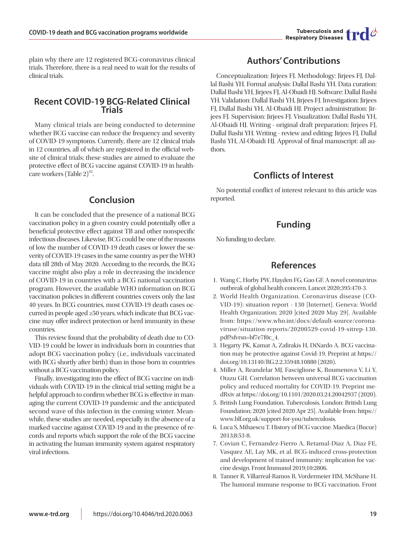

plain why there are 12 registered BCG-coronavirus clinical trials. Therefore, there is a real need to wait for the results of clinical trials.

## **Recent COVID-19 BCG-Related Clinical Trials**

Many clinical trials are being conducted to determine whether BCG vaccine can reduce the frequency and severity of COVID-19 symptoms. Currently, there are 12 clinical trials in 12 countries, all of which are registered in the official website of clinical trials; these studies are aimed to evaluate the protective effect of BCG vaccine against COVID-19 in healthcare workers (Table 2) 42 .

## **Conclusion**

It can be concluded that the presence of a national BCG vaccination policy in a given country could potentially offer a beneficial protective effect against TB and other nonspecific infectious diseases. Likewise, BCG could be one of the reasons of low the number of COVID-19 death cases or lower the severity of COVID-19 cases in the same country as per the WHO data till 28th of May 2020. According to the records, the BCG vaccine might also play a role in decreasing the incidence of COVID-19 in countries with a BCG national vaccination program. However, the available WHO information on BCG vaccination policies in different countries covers only the last 40 years. In BCG countries, most COVID-19 death cases occurred in people aged ≥50 years, which indicate that BCG vaccine may offer indirect protection or herd immunity in these countries.

This review found that the probability of death due to CO-VID-19 could be lower in individuals born in countries that adopt BCG vaccination policy (i.e., individuals vaccinated with BCG shortly after birth) than in those born in countries without a BCG vaccination policy.

Finally, investigating into the effect of BCG vaccine on individuals with COVID-19 in the clinical trial setting might be a helpful approach to confirm whether BCG is effective in managing the current COVID-19 pandemic and the anticipated second wave of this infection in the coming winter. Meanwhile, these studies are needed, especially in the absence of a marked vaccine against COVID-19 and in the presence of records and reports which support the role of the BCG vaccine in activating the human immunity system against respiratory viral infections.

# **Authors' Contributions**

Conceptualization: Jirjees FJ. Methodology: Jirjees FJ, Dallal Bashi YH. Formal analysis: Dallal Bashi YH. Data curation: Dallal Bashi YH, Jirjees FJ, Al-Obaidi HJ. Software: Dallal Bashi YH. Validation: Dallal Bashi YH, Jirjees FJ. Investigation: Jirjees FJ, Dallal Bashi YH, Al-Obaidi HJ. Project administration: Jirjees FJ. Supervision: Jirjees FJ. Visualization: Dallal Bashi YH, Al-Obaidi HJ. Writing - original draft preparation: Jirjees FJ, Dallal Bashi YH. Writing - review and editing: Jirjees FJ, Dallal Bashi YH, Al-Obaidi HJ. Approval of final manuscript: all authors.

## **Conflicts of Interest**

No potential conflict of interest relevant to this article was reported.

## **Funding**

No funding to declare.

## **References**

- 1. Wang C, Horby PW, Hayden FG, Gao GF. A novel coronavirus outbreak of global health concern. Lancet 2020;395:470-3.
- 2. World Health Organization. Coronavirus disease (CO-VID-19): situation report - 130 [Internet]. Geneva: World Health Organization; 2020 [cited 2020 May 29]. Available from: https://www.who.int/docs/default-source/coronaviruse/situation-reports/20200529-covid-19-sitrep-130. pdf?sfvrsn=bf7e7f0c\_4.
- 3. Hegarty PK, Kamat A, Zafirakis H, DiNardo A. BCG vaccination may be protective against Covid-19. Preprint at https:// doi.org/10.13140/RG.2.2.35948.10880 (2020).
- 4. Miller A, Reandelar MJ, Fasciglione K, Roumenova V, Li Y, Otazu GH. Correlation between universal BCG vaccination policy and reduced mortality for COVID-19. Preprint medRxiv at https://doi.org/10.1101/2020.03.24.20042937 (2020).
- 5. British Lung Foundation. Tuberculosis. London: British Lung Foundation; 2020 [cited 2020 Apr 25]. Available from: https:// www.blf.org.uk/support-for-you/tuberculosis.
- 6. Luca S, Mihaescu T. History of BCG vaccine. Maedica (Bucur) 2013;8:53-8.
- 7. Covian C, Fernandez-Fierro A, Retamal-Diaz A, Diaz FE, Vasquez AE, Lay MK, et al. BCG-induced cross-protection and development of trained immunity: implication for vaccine design. Front Immunol 2019;10:2806.
- 8. Tanner R, Villarreal-Ramos B, Vordermeier HM, McShane H. The humoral immune response to BCG vaccination. Front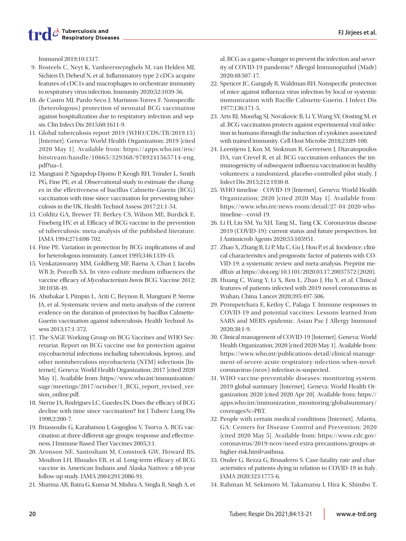Immunol 2019;10:1317.

- 9. Bosteels C, Neyt K, Vanheerswynghels M, van Helden MJ, Sichien D, Debeuf N, et al. Inflammatory type 2 cDCs acquire features of cDC1s and macrophages to orchestrate immunity to respiratory virus infection. Immunity 2020;52:1039-56.
- 10. de Castro MJ, Pardo-Seco J, Martinon-Torres F. Nonspecific (heterologous) protection of neonatal BCG vaccination against hospitalization due to respiratory infection and sepsis. Clin Infect Dis 2015;60:1611-9.
- 11. Global tuberculosis report 2019 (WHO/CDS/TB/2019.15) [Internet]. Geneva: World Health Organization; 2019 [cited 2020 May 1]. Available from: https://apps.who.int/iris/ bitstream/handle/10665/329368/9789241565714-eng. pdf?ua=1.
- 12. Mangtani P, Nguipdop-Djomo P, Keogh RH, Trinder L, Smith PG, Fine PE, et al. Observational study to estimate the changes in the effectiveness of bacillus Calmette-Guerin (BCG) vaccination with time since vaccination for preventing tuberculosis in the UK. Health Technol Assess 2017;21:1-54.
- 13. Colditz GA, Brewer TF, Berkey CS, Wilson ME, Burdick E, Fineberg HV, et al. Efficacy of BCG vaccine in the prevention of tuberculosis: meta-analysis of the published literature. JAMA 1994;271:698-702.
- 14. Fine PE. Variation in protection by BCG: implications of and for heterologous immunity. Lancet 1995;346:1339-45.
- 15. Venkataswamy MM, Goldberg MF, Baena A, Chan J, Jacobs WR Jr, Porcelli SA. In vitro culture medium influences the vaccine efficacy of Mycobacterium bovis BCG. Vaccine 2012; 30:1038-49.
- 16. Abubakar I, Pimpin L, Ariti C, Beynon R, Mangtani P, Sterne JA, et al. Systematic review and meta-analysis of the current evidence on the duration of protection by bacillus Calmette-Guerin vaccination against tuberculosis. Health Technol Assess 2013;17:1-372.
- 17. The SAGE Working Group on BCG Vaccines and WHO Secretariat. Report on BCG vaccine use for protection against mycobacterial infections including tuberculosis, leprosy, and other nontuberculous mycobacteria (NTM) infections [Internet]. Geneva: World Health Organization; 2017 [cited 2020 May 1]. Available from: https://www.who.int/immunization/ sage/meetings/2017/october/1\_BCG\_report\_revised\_version\_online.pdf.
- 18. Sterne JA, Rodrigues LC, Guedes IN. Does the efficacy of BCG decline with time since vaccination? Int J Tuberc Lung Dis 1998;2:200-7.
- 19. Briassoulis G, Karabatsou I, Gogoglou V, Tsorva A. BCG vaccination at three different age groups: response and effectiveness. J Immune Based Ther Vaccines 2005;3:1.
- 20. Aronson NE, Santosham M, Comstock GW, Howard RS, Moulton LH, Rhoades ER, et al. Long-term efficacy of BCG vaccine in American Indians and Alaska Natives: a 60-year follow-up study. JAMA 2004;291:2086-91.
- 21. Sharma AR, Batra G, Kumar M, Mishra A, Singla R, Singh A, et

al. BCG as a game-changer to prevent the infection and severity of COVID-19 pandemic? Allergol Immunopathol (Madr) 2020;48:507-17.

- 22. Spencer JC, Ganguly R, Waldman RH. Nonspecific protection of mice against influenza virus infection by local or systemic immunization with Bacille Calmette-Guerin. J Infect Dis 1977;136:171-5.
- 23. Arts RJ, Moorlag SJ, Novakovic B, Li Y, Wang SY, Oosting M, et al. BCG vaccination protects against experimental viral infection in humans through the induction of cytokines associated with trained immunity. Cell Host Microbe 2018;23:89-100.
- 24. Leentjens J, Kox M, Stokman R, Gerretsen J, Diavatopoulos DA, van Crevel R, et al. BCG vaccination enhances the immunogenicity of subsequent influenza vaccination in healthy volunteers: a randomized, placebo-controlled pilot study. J Infect Dis 2015;212:1930-8.
- 25. WHO timeline COVID-19 [Internet]. Geneva: World Health Organization; 2020 [cited 2020 May 1]. Available from: https://www.who.int/news-room/detail/27-04-2020-whotimeline---covid-19.
- 26. Li H, Liu SM, Yu XH, Tang SL, Tang CK. Coronavirus disease 2019 (COVID-19): current status and future perspectives. Int J Antimicrob Agents 2020;55:105951.
- 27. Zhao X, Zhang B, Li P, Ma C, Gu J, Hou P, et al. Incidence, clinical characteristics and prognostic factor of patients with CO-VID-19: a systematic review and meta-analysis. Preprint medRxiv at https://doi.org/10.1101/2020.03.17.20037572 (2020).
- 28. Huang C, Wang Y, Li X, Ren L, Zhao J, Hu Y, et al. Clinical features of patients infected with 2019 novel coronavirus in Wuhan, China. Lancet 2020;395:497-506.
- 29. Prompetchara E, Ketloy C, Palaga T. Immune responses in COVID-19 and potential vaccines: Lessons learned from SARS and MERS epidemic. Asian Pac J Allergy Immunol 2020;38:1-9.
- 30. Clinical management of COVID-19 [Internet]. Geneva: World Health Organization; 2020 [cited 2020 May 1]. Available from: https://www.who.int/publications-detail/clinical-management-of-severe-acute-respiratory-infection-when-novelcoronavirus-(ncov)-infection-is-suspected.
- 31. WHO vaccine-preventable diseases: monitoring system. 2019 global summary [Internet]. Geneva: World Health Organization; 2020 [cited 2020 Apr 20]. Available from: https:// apps.who.int/immunization\_monitoring/globalsummary/ coverages?c=PRT.
- 32. People with certain medical conditions [Internet]. Atlanta, GA: Centers for Disease Control and Prevention; 2020 [cited 2020 May 5]. Available from: https://www.cdc.gov/ coronavirus/2019-ncov/need-extra-precautions/groups-athigher-risk.html#asthma.
- 33. Onder G, Rezza G, Brusaferro S. Case-fatality rate and characteristics of patients dying in relation to COVID-19 in Italy. JAMA 2020;323:1775-6.
- 34. Rahman M, Sekimoto M, Takamatsu I, Hira K, Shimbo T,